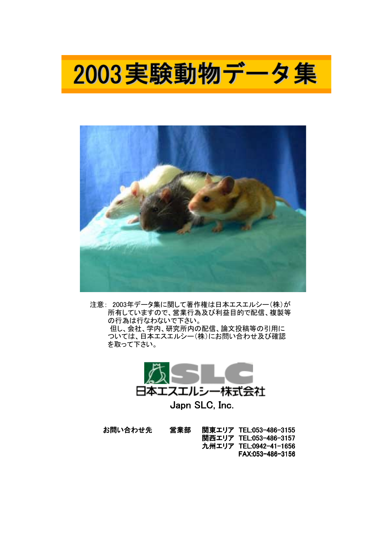



 注意: 2003年データ集に関して著作権は日本エスエルシー(株)が 所有していますので、営業行為及び利益目的で配信、複製等 の行為は行なわないで下さい。 但し、会社、学内、研究所内の配信、論文投稿等の引用に ついては、日本エスエルシー(株)にお問い合わせ及び確認 を取って下さい。



お問い合わせ先 営業部 関東エリア TEL:053-486-3155 関西エリア TEL:053-486-3157 九州エリア TEL:0942-41-1656 FAX:053-486-3156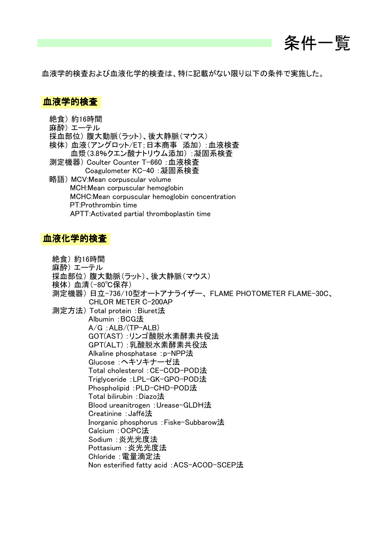

血液学的検査および血液化学的検査は、特に記載がない限り以下の条件で実施した。

### 血液学的検査

絶食) 約16時間 麻酔) エーテル 採血部位) 腹大動脈(ラット)、後大静脈(マウス) 検体) 血液(アングロット/ET;日本商事 添加) :血液検査 血漿(3.8%クエン酸ナトリウム添加) :凝固系検査 測定機器) Coulter Counter T-660 :血液検査 Coagulometer KC-40 :凝固系検査 略語) MCV:Mean corpuscular volume MCH:Mean corpuscular hemoglobin MCHC:Mean corpuscular hemoglobin concentration PT:Prothrombin time APTT:Activated partial thromboplastin time

#### 血液化学的検査

- 絶食) 約16時間
- 麻酔) エーテル
- 採血部位) 腹大動脈(ラット)、後大静脈(マウス)
- 検体) 血清(-80℃保存)
- 測定機器) 日立-736/10型オートアナライザー、 FLAME PHOTOMETER FLAME-30C、 CHLOR METER C-200AP

 測定方法) Total protein :Biuret法 Albumin :BCG法 A/G :ALB/(TP-ALB) GOT(AST) :リンゴ酸脱水素酵素共役法 GPT(ALT) :乳酸脱水素酵素共役法 Alkaline phosphatase :p-NPP法 Glucose :ヘキソキナーゼ法 Total cholesterol :CE-COD-POD法 Triglyceride :LPL-GK-GPO-POD法 Phospholipid :PLD-CHD-POD法 Total bilirubin :Diazo法 Blood ureanitrogen :Urease-GLDH法 Creatinine :Jaffé法 Inorganic phosphorus :Fiske-Subbarow法 Calcium :OCPC法 Sodium :炎光光度法 Pottasium :炎光光度法 Chloride :電量滴定法 Non esterified fatty acid :ACS-ACOD-SCEP法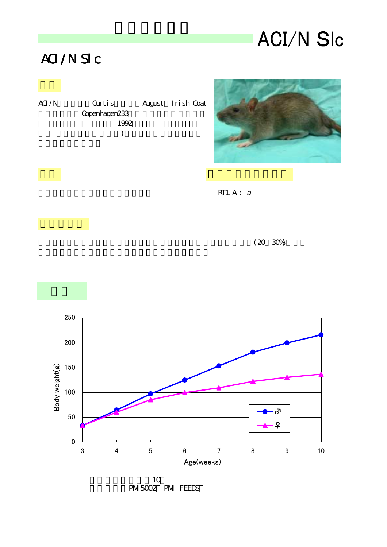# **ACI/N SIc**

### ACI/N Slc

| Curtis        | August I rish Coat |
|---------------|--------------------|
| Copenhagen233 |                    |
| 1992          |                    |
|               |                    |
|               |                    |
|               |                    |



 $RT1. A : a$ 





PMI5002 PMI FEEDS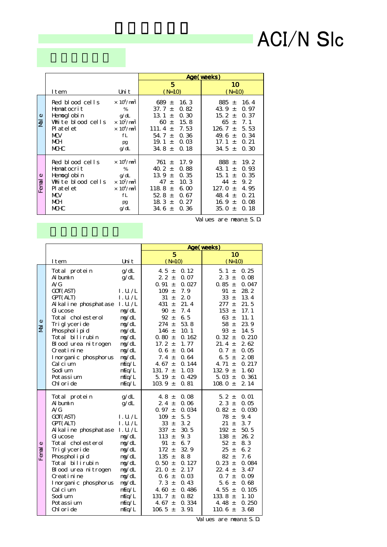# ACI/N Slc

|                    |                                                                                                                             |                                                                                                                                                      |                                                                                                                     |                                                                             | Age(weeks)                                                                                                                                                                 |  |
|--------------------|-----------------------------------------------------------------------------------------------------------------------------|------------------------------------------------------------------------------------------------------------------------------------------------------|---------------------------------------------------------------------------------------------------------------------|-----------------------------------------------------------------------------|----------------------------------------------------------------------------------------------------------------------------------------------------------------------------|--|
|                    | I tem                                                                                                                       | Uni t                                                                                                                                                | 5<br>$(N=10)$                                                                                                       |                                                                             | 10<br>$(N=10)$                                                                                                                                                             |  |
| $\omega$<br>₹      | Red blood cells<br>Hematocrit<br>Hemogl obi n<br>White blood cells<br>Pl at el et<br><b>MW</b><br><b>MCH</b><br><b>MCHC</b> | $\times$ 10 <sup>4</sup> /mm <sup>3</sup><br>%<br>q/dL<br>$\times$ 10 <sup>2</sup> /mm <sup>3</sup><br>$\times 10^4/\text{nm}^3$<br>fL<br>pg<br>g/dL | 689 $\pm$<br>37. $7 \pm$<br>13.1<br>$\pm$<br>$60 \pm$<br>111.4 $\pm$<br>54. $7 \pm$<br>19.1<br>$\pm$<br>34. $8 \pm$ | 16.3<br>0.82<br>0.30<br>15.8<br>7.53<br>0.36<br>$\Omega$ $\Omega$ 3<br>0.18 | 16.4<br>885 $\pm$<br>43.9 $\pm$<br>0.97<br>15. $2 \pm$<br>0.37<br>$65 +$<br>7.1<br>126.7 $\pm$<br>5.53<br>49.6 $\pm$<br>0.34<br>0.21<br>17.1 $\pm$<br>34.5 $\pm$<br>0.30   |  |
| $\omega$<br>Ferral | Red blood cells<br>Hematocrit<br>Hemogl obi n<br>White blood cells<br>Pl at el et<br><b>MW</b><br>MСH<br><b>MCHC</b>        | $\times 10^4/mm^3$<br>%<br>g/dL<br>$\times$ 10 <sup>2</sup> /mm <sup>3</sup><br>$\times 10^4/mm^3$<br>fL<br>pg<br>g/dL                               | 761 $\pm$<br>40.2 $\pm$<br>13.9 $\pm$<br>47 $\pm$<br>118.8 $\pm$<br>52 8 $\pm$<br>18.3 $\pm$<br>34.6 $\pm$          | 17.9<br>0.88<br>0.35<br>10.3<br>6 <sub>0</sub><br>0.67<br>0.27<br>0.36      | 19.2<br>888 $\pm$<br>43.1<br>0.93<br>$+$<br>15.1 $\pm$<br>0.35<br>44 $\pm$<br>9.2<br>127. $0 +$<br>4.95<br>48.4 $\pm$<br>0.21<br>16.9 $\pm$<br>0.08<br>35. O $\pm$<br>0.18 |  |

Values are mean± S.D.

|                    |                                                                                                                                                                                                                                                                                                     |                                                                                                                                                                | Age (veeks)                                                                                                                                                                                                                                                                                                                                                                                          |                                                                                                                                                                                                                                                                                                                                                                                                |
|--------------------|-----------------------------------------------------------------------------------------------------------------------------------------------------------------------------------------------------------------------------------------------------------------------------------------------------|----------------------------------------------------------------------------------------------------------------------------------------------------------------|------------------------------------------------------------------------------------------------------------------------------------------------------------------------------------------------------------------------------------------------------------------------------------------------------------------------------------------------------------------------------------------------------|------------------------------------------------------------------------------------------------------------------------------------------------------------------------------------------------------------------------------------------------------------------------------------------------------------------------------------------------------------------------------------------------|
|                    |                                                                                                                                                                                                                                                                                                     |                                                                                                                                                                | 5                                                                                                                                                                                                                                                                                                                                                                                                    | 10                                                                                                                                                                                                                                                                                                                                                                                             |
|                    | I tem                                                                                                                                                                                                                                                                                               | Uni t                                                                                                                                                          | $(N=10)$                                                                                                                                                                                                                                                                                                                                                                                             | $(N=10)$                                                                                                                                                                                                                                                                                                                                                                                       |
| $\omega$<br>ᄛ      | Total protein<br>Al bumin<br>A/G<br>GOT (AST)<br>GPT(ALT)<br>Al kal i ne phosphatase<br>G ucose<br>Total cholesterol<br>Tri glyceri de<br>Phosphol i pi d<br>Total bilirubin<br>Blood urea nitrogen<br>Creatinine<br>I nor gani c phosphor us<br>Cal ci um<br>Sodi um<br>Pot assi um<br>Chloride    | g/dL<br>q/dL<br>1. U. / L<br>1. U. /L<br>1. U. / L<br>m/dL<br>ng/dL<br>mg/dL<br>mg/dL<br>mg/dL<br>mg/dL<br>mg/dL<br>ng/dL<br>mEq/L<br>mEq/L<br>mEq/L<br>mEq/L  | 0.12<br>4.5 $\pm$<br>$22 \pm$<br>0.07<br>$0.91 \pm$<br>0.027<br>7.9<br>109<br>$\pm$<br>31<br>2.0<br>$\pm$<br>431<br>21.4<br>$\pm$<br>90 $\pm$<br>7.4<br>6.5<br>92 $\pm$<br>$274 \pm$<br>53.8<br>146 $\pm$<br>10.1<br>$0.80 \pm$<br>0.162<br>17. $2 +$<br>1.77<br>0.04<br>$0.6 \pm$<br>7.4 $\pm$<br>0.64<br>4.67 $\pm$<br>0.144<br>1.03<br>131. 7 $\pm$<br>5.19 $\pm$<br>0.429<br>103.9 $\pm$<br>0.81 | 5.1 $\pm$<br>0.25<br>23±<br>0.08<br>$0.85 \pm$<br>0.047<br>28.2<br>91<br>$\pm$<br>33<br>13.4<br>$\pm$<br>$277 \pm$<br>21.5<br>153 $\pm$<br>17.1<br>63 $\pm$<br>11.1<br>58 $\pm$<br>23.9<br>93 $\pm$<br>14.5<br>$0.32 \pm$<br>0.210<br>2.62<br>21.4 $\pm$<br>$0.7 \pm$<br>0.05<br>2.08<br>6.5 $\pm$<br>0.217<br>4.71 $\pm$<br>132 9 $\pm$<br>1.60<br>5.03 $\pm$<br>0.361<br>2.14<br>108.0 $\pm$ |
| $\omega$<br>Ferral | Total protein<br>Al bum n<br>A/G<br>GOT (AST)<br>GPT (ALT)<br>Al kal i ne phosphatase<br>G ucose<br>Total cholesterol<br>Tri glyceri de<br>Phosphol i pi d<br>Total bilirubin<br>Blood urea nitrogen<br>Creati ni ne<br>I nor gani c phosphor us<br>Cal ci um<br>Sodi um<br>Pot assi um<br>Chloride | q/dL<br>g/dL<br>1. U. / L<br>1. U. / L<br>1. U. /L<br>ng/dL<br>mg/dL<br>mg/dL<br>mg/dL<br>mg/dL<br>ng/dL<br>ng/dL<br>ng/dL<br>mEq/L<br>mEq/L<br>mEq/L<br>mEq/L | 0.08<br>4.8 $\pm$<br>$2.4 \pm$<br>0.06<br>$0.97 \pm$<br>0.034<br>$109 +$<br>5.5<br>$33 +$<br>3.2<br>337 $\pm$<br>30.5<br>9.3<br>113 $\pm$<br>91<br>6.7<br>$\pm$<br>32 9<br>$172 \pm$<br>$135 +$<br>8.8<br>$0.50 +$<br>0.127<br>21. O $\pm$<br>2.17<br>$0.6 \pm$<br>0.03<br>7. $3 \pm$<br>0.43<br>4.60 $\pm$<br>0.486<br>131. $7 \pm$<br>0.82<br>4.67 $\pm$<br>0.334<br>106.5 $\pm$<br>3.91           | 5.2 $\pm$<br>0.01<br>$23 +$<br>0.05<br>$0.82 \pm$<br>0.030<br>78 $\pm$<br>9.4<br>3.7<br>21<br>$\pm$<br>$192 +$<br>50.5<br>138 $\pm$<br>26.2<br>$52 \pm$<br>8.3<br>6.2<br>$25 \pm$<br>$82 +$<br>7.6<br>$0.23 +$<br>0.084<br>22 4 $\pm$<br>3.47<br>$0.7 \pm$<br>0.09<br>0.68<br>5.6 $\pm$<br>4.55 $\pm$<br>0.105<br>133.8 $\pm$<br>1.10<br>0.250<br>4.48 $\pm$<br>3.68<br>110.6 $\pm$            |

Values are mean± S.D.